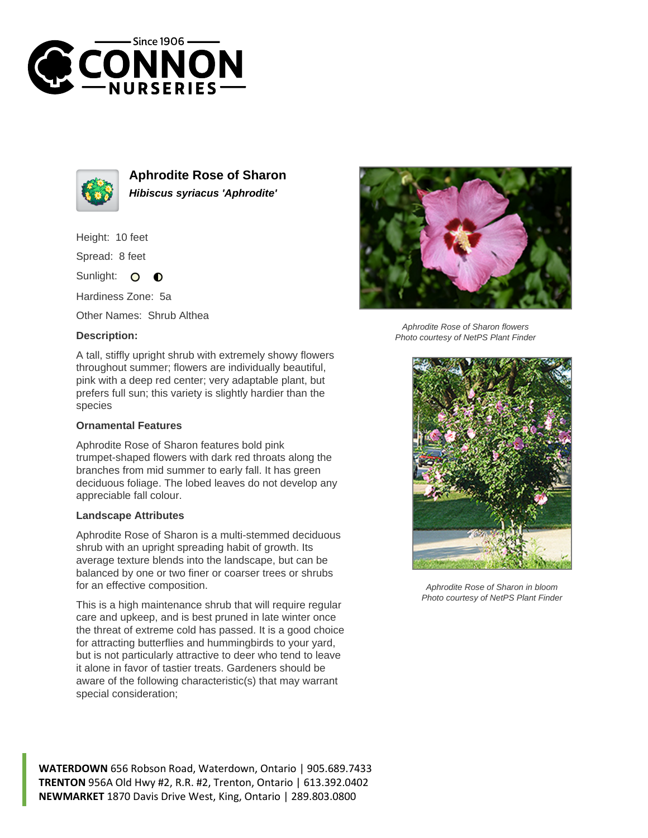



**Aphrodite Rose of Sharon Hibiscus syriacus 'Aphrodite'**

Height: 10 feet

Spread: 8 feet

Sunlight: 0  $\bullet$ 

Hardiness Zone: 5a

Other Names: Shrub Althea

## **Description:**

A tall, stiffly upright shrub with extremely showy flowers throughout summer; flowers are individually beautiful, pink with a deep red center; very adaptable plant, but prefers full sun; this variety is slightly hardier than the species

## **Ornamental Features**

Aphrodite Rose of Sharon features bold pink trumpet-shaped flowers with dark red throats along the branches from mid summer to early fall. It has green deciduous foliage. The lobed leaves do not develop any appreciable fall colour.

## **Landscape Attributes**

Aphrodite Rose of Sharon is a multi-stemmed deciduous shrub with an upright spreading habit of growth. Its average texture blends into the landscape, but can be balanced by one or two finer or coarser trees or shrubs for an effective composition.

This is a high maintenance shrub that will require regular care and upkeep, and is best pruned in late winter once the threat of extreme cold has passed. It is a good choice for attracting butterflies and hummingbirds to your yard, but is not particularly attractive to deer who tend to leave it alone in favor of tastier treats. Gardeners should be aware of the following characteristic(s) that may warrant special consideration;



Aphrodite Rose of Sharon flowers Photo courtesy of NetPS Plant Finder



Aphrodite Rose of Sharon in bloom Photo courtesy of NetPS Plant Finder

**WATERDOWN** 656 Robson Road, Waterdown, Ontario | 905.689.7433 **TRENTON** 956A Old Hwy #2, R.R. #2, Trenton, Ontario | 613.392.0402 **NEWMARKET** 1870 Davis Drive West, King, Ontario | 289.803.0800